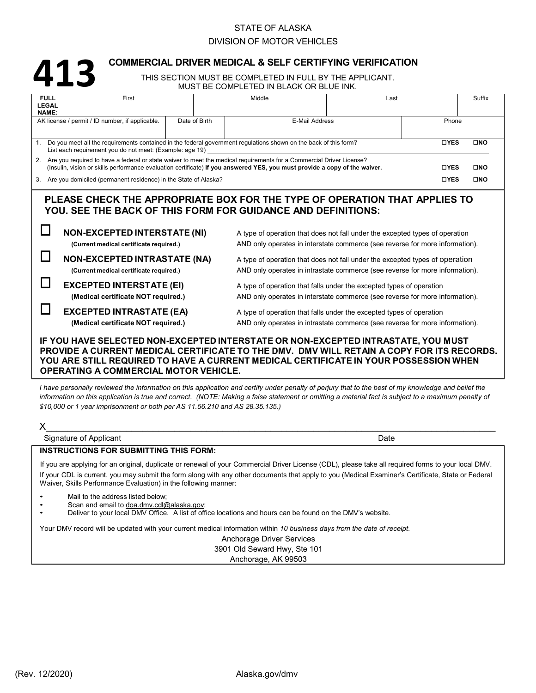## STATE OF ALASKA

## DIVISION OF MOTOR VEHICLES

# **413**

## **COMMERCIAL DRIVER MEDICAL & SELF CERTIFYING VERIFICATION**

THIS SECTION MUST BE COMPLETED IN FULL BY THE APPLICANT. MUST BE COMPLETED IN BLACK OR BLUE INK.

| <b>FULL</b>                                                                                                                | First                                                                                                                                                |  | Middle                          |                                                                              | Last  |             | Suffix       |  |
|----------------------------------------------------------------------------------------------------------------------------|------------------------------------------------------------------------------------------------------------------------------------------------------|--|---------------------------------|------------------------------------------------------------------------------|-------|-------------|--------------|--|
| <b>LEGAL</b><br>NAME:                                                                                                      |                                                                                                                                                      |  |                                 |                                                                              |       |             |              |  |
| AK license / permit / ID number, if applicable.                                                                            |                                                                                                                                                      |  | Date of Birth<br>E-Mail Address |                                                                              | Phone |             |              |  |
|                                                                                                                            |                                                                                                                                                      |  |                                 |                                                                              |       |             |              |  |
| Do you meet all the requirements contained in the federal government regulations shown on the back of this form?           |                                                                                                                                                      |  |                                 |                                                                              |       | <b>DYES</b> | $\square$ NO |  |
| List each requirement you do not meet: (Example: age 19)                                                                   |                                                                                                                                                      |  |                                 |                                                                              |       |             |              |  |
|                                                                                                                            | 2. Are you required to have a federal or state waiver to meet the medical requirements for a Commercial Driver License?<br><b>DYES</b><br><b>OND</b> |  |                                 |                                                                              |       |             |              |  |
| (Insulin, vision or skills performance evaluation certificate) If you answered YES, you must provide a copy of the waiver. |                                                                                                                                                      |  |                                 |                                                                              |       | <b>DYES</b> | $\square$ NO |  |
|                                                                                                                            | 3. Are you domiciled (permanent residence) in the State of Alaska?                                                                                   |  |                                 |                                                                              |       |             |              |  |
| PLEASE CHECK THE APPROPRIATE BOX FOR THE TYPE OF OPERATION THAT APPLIES TO                                                 |                                                                                                                                                      |  |                                 |                                                                              |       |             |              |  |
| YOU. SEE THE BACK OF THIS FORM FOR GUIDANCE AND DEFINITIONS:                                                               |                                                                                                                                                      |  |                                 |                                                                              |       |             |              |  |
|                                                                                                                            |                                                                                                                                                      |  |                                 |                                                                              |       |             |              |  |
| <b>NON-EXCEPTED INTERSTATE (NI)</b>                                                                                        |                                                                                                                                                      |  |                                 | A type of operation that does not fall under the excepted types of operation |       |             |              |  |
|                                                                                                                            | (Current medical certificate required.)                                                                                                              |  |                                 | AND only operates in interstate commerce (see reverse for more information). |       |             |              |  |
|                                                                                                                            |                                                                                                                                                      |  |                                 |                                                                              |       |             |              |  |
|                                                                                                                            | <b>NON-EXCEPTED INTRASTATE (NA)</b>                                                                                                                  |  |                                 | A type of operation that does not fall under the excepted types of operation |       |             |              |  |
|                                                                                                                            | (Current medical certificate required.)                                                                                                              |  |                                 | AND only operates in intrastate commerce (see reverse for more information). |       |             |              |  |
|                                                                                                                            | <b>EXCEPTED INTERSTATE (EI)</b>                                                                                                                      |  |                                 | A type of operation that falls under the excepted types of operation         |       |             |              |  |
|                                                                                                                            | (Medical certificate NOT required.)                                                                                                                  |  |                                 | AND only operates in interstate commerce (see reverse for more information). |       |             |              |  |
|                                                                                                                            |                                                                                                                                                      |  |                                 |                                                                              |       |             |              |  |
|                                                                                                                            | <b>EXCEPTED INTRASTATE (EA)</b>                                                                                                                      |  |                                 | A type of operation that falls under the excepted types of operation         |       |             |              |  |
|                                                                                                                            | (Medical certificate NOT required.)                                                                                                                  |  |                                 | AND only operates in intrastate commerce (see reverse for more information). |       |             |              |  |
| IF YOU HAVE SELECTED NON-EXCEPTED INTERSTATE OR NON-EXCEPTED INTRASTATE, YOU MUST                                          |                                                                                                                                                      |  |                                 |                                                                              |       |             |              |  |
| PROVIDE A CURRENT MEDICAL CERTIFICATE TO THE DMV. DMV WILL RETAIN A COPY FOR ITS RECORDS.                                  |                                                                                                                                                      |  |                                 |                                                                              |       |             |              |  |
| YOU ARE STILL REQUIRED TO HAVE A CURRENT MEDICAL CERTIFICATE IN YOUR POSSESSION WHEN                                       |                                                                                                                                                      |  |                                 |                                                                              |       |             |              |  |
|                                                                                                                            |                                                                                                                                                      |  |                                 |                                                                              |       |             |              |  |

# **OPERATING A COMMERCIAL MOTOR VEHICLE.**

I have personally reviewed the information on this application and certify under penalty of perjury that to the best of my knowledge and belief the information on this application is true and correct. (NOTE: Making a false statement or omitting a material fact is subject to a maximum penalty of *\$10,000 or 1 year imprisonment or both per AS 11.56.210 and AS 28.35.135.)*

| Χ                                                                                                                                                                                                                                                                                                                                                                             |      |  |  |  |  |  |
|-------------------------------------------------------------------------------------------------------------------------------------------------------------------------------------------------------------------------------------------------------------------------------------------------------------------------------------------------------------------------------|------|--|--|--|--|--|
| Signature of Applicant                                                                                                                                                                                                                                                                                                                                                        | Date |  |  |  |  |  |
| <b>INSTRUCTIONS FOR SUBMITTING THIS FORM:</b>                                                                                                                                                                                                                                                                                                                                 |      |  |  |  |  |  |
| If you are applying for an original, duplicate or renewal of your Commercial Driver License (CDL), please take all required forms to your local DMV.<br>If your CDL is current, you may submit the form along with any other documents that apply to you (Medical Examiner's Certificate, State or Federal<br>Waiver, Skills Performance Evaluation) in the following manner: |      |  |  |  |  |  |
| Mail to the address listed below:<br>Scan and email to doa.dmv.cdl@alaska.gov;<br>٠<br>Deliver to your local DMV Office. A list of office locations and hours can be found on the DMV's website.                                                                                                                                                                              |      |  |  |  |  |  |
| Your DMV record will be updated with your current medical information within 10 business days from the date of receipt.<br>Anchorage Driver Services                                                                                                                                                                                                                          |      |  |  |  |  |  |

3901 Old Seward Hwy, Ste 101 Anchorage, AK 99503